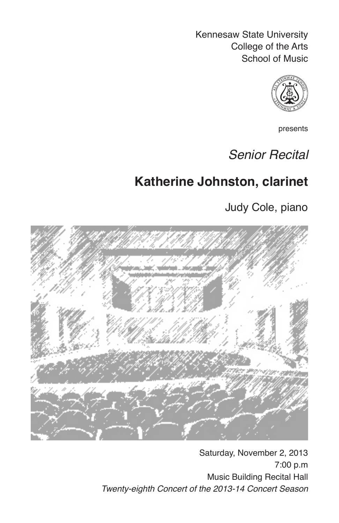Kennesaw State University College of the Arts School of Music



presents

# *Senior Recital*

# **Katherine Johnston, clarinet**

Judy Cole, piano



Saturday, November 2, 2013 7:00 p.m Music Building Recital Hall *Twenty-eighth Concert of the 2013-14 Concert Season*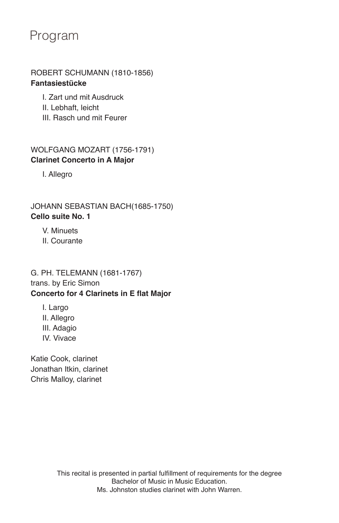## Program

### ROBERT SCHUMANN (1810-1856) **Fantasiestücke**

- I. Zart und mit Ausdruck
- II. Lebhaft, leicht
- III. Rasch und mit Feurer

### WOLFGANG MOZART (1756-1791) **Clarinet Concerto in A Major**

I. Allegro

JOHANN SEBASTIAN BACH(1685-1750) **Cello suite No. 1**

V. Minuets

II. Courante

### G. PH. TELEMANN (1681-1767) trans. by Eric Simon **Concerto for 4 Clarinets in E flat Major**

I. Largo II. Allegro III. Adagio IV. Vivace

Katie Cook, clarinet Jonathan Itkin, clarinet Chris Malloy, clarinet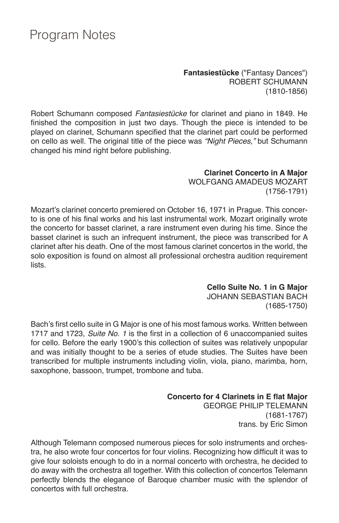## Program Notes

**Fantasiestücke** ("Fantasy Dances") ROBERT SCHUMANN (1810-1856)

Robert Schumann composed *Fantasiestücke* for clarinet and piano in 1849. He finished the composition in just two days. Though the piece is intended to be played on clarinet, Schumann specified that the clarinet part could be performed on cello as well. The original title of the piece was *"Night Pieces,"* but Schumann changed his mind right before publishing.

#### **Clarinet Concerto in A Major** WOLFGANG AMADEUS MOZART (1756-1791)

Mozart's clarinet concerto premiered on October 16, 1971 in Prague. This concerto is one of his final works and his last instrumental work. Mozart originally wrote the concerto for basset clarinet, a rare instrument even during his time. Since the basset clarinet is such an infrequent instrument, the piece was transcribed for A clarinet after his death. One of the most famous clarinet concertos in the world, the solo exposition is found on almost all professional orchestra audition requirement lists.

## **Cello Suite No. 1 in G Major**

JOHANN SEBASTIAN BACH (1685-1750)

Bach's first cello suite in G Major is one of his most famous works. Written between 1717 and 1723, *Suite No. 1* is the first in a collection of 6 unaccompanied suites for cello. Before the early 1900's this collection of suites was relatively unpopular and was initially thought to be a series of etude studies. The Suites have been transcribed for multiple instruments including violin, viola, piano, marimba, horn, saxophone, bassoon, trumpet, trombone and tuba.

> **Concerto for 4 Clarinets in E flat Major** GEORGE PHILIP TELEMANN (1681-1767) trans. by Eric Simon

Although Telemann composed numerous pieces for solo instruments and orchestra, he also wrote four concertos for four violins. Recognizing how difficult it was to give four soloists enough to do in a normal concerto with orchestra, he decided to do away with the orchestra all together. With this collection of concertos Telemann perfectly blends the elegance of Baroque chamber music with the splendor of concertos with full orchestra.